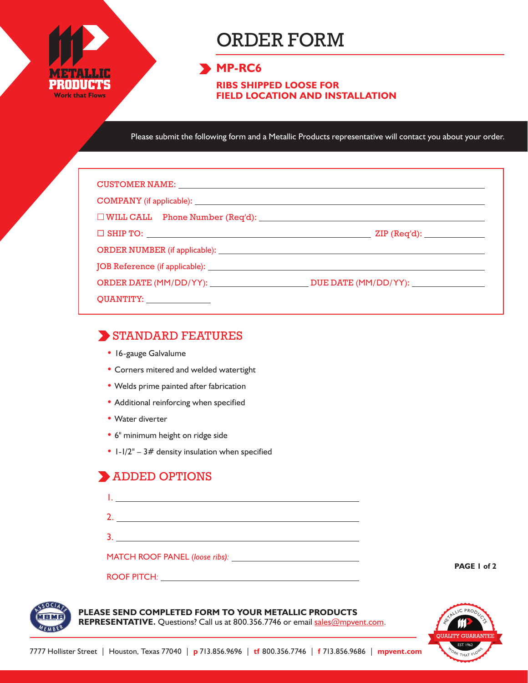

# ORDER FORM

#### **MP-RC6**

**RIBS SHIPPED LOOSE FOR FIELD LOCATION AND INSTALLATION**

Please submit the following form and a Metallic Products representative will contact you about your order.

| CUSTOMER NAME: NAME: NAME AND A SERIES OF THE SERIES OF THE SERIES OF THE SERIES OF THE SERIES OF THE SERIES OF THE SERIES OF THE SERIES OF THE SERIES OF THE SERIES OF THE SERIES OF THE SERIES OF THE SERIES OF THE SERIES O |                                            |
|--------------------------------------------------------------------------------------------------------------------------------------------------------------------------------------------------------------------------------|--------------------------------------------|
|                                                                                                                                                                                                                                |                                            |
|                                                                                                                                                                                                                                |                                            |
|                                                                                                                                                                                                                                | $\mathsf{ZIP}\left(\mathsf{Req'd}\right):$ |
|                                                                                                                                                                                                                                |                                            |
|                                                                                                                                                                                                                                |                                            |
|                                                                                                                                                                                                                                |                                            |
| QUANTITY: _______________                                                                                                                                                                                                      |                                            |

#### STANDARD FEATURES

- 16-gauge Galvalume
- Corners mitered and welded watertight
- Welds prime painted after fabrication
- Additional reinforcing when specified
- Water diverter
- 6" minimum height on ridge side

ROOF PITCH*:*

•  $1-1/2" - 3#$  density insulation when specified

### **ADDED OPTIONS**

**PAGE 1 of 2**



## **PLEASE SEND COMPLETED FORM TO YOUR METALLIC PRODUCTS**

REPRESENTATIVE. Questions? Call us at 800.356.7746 or email sales@mpvent.com.